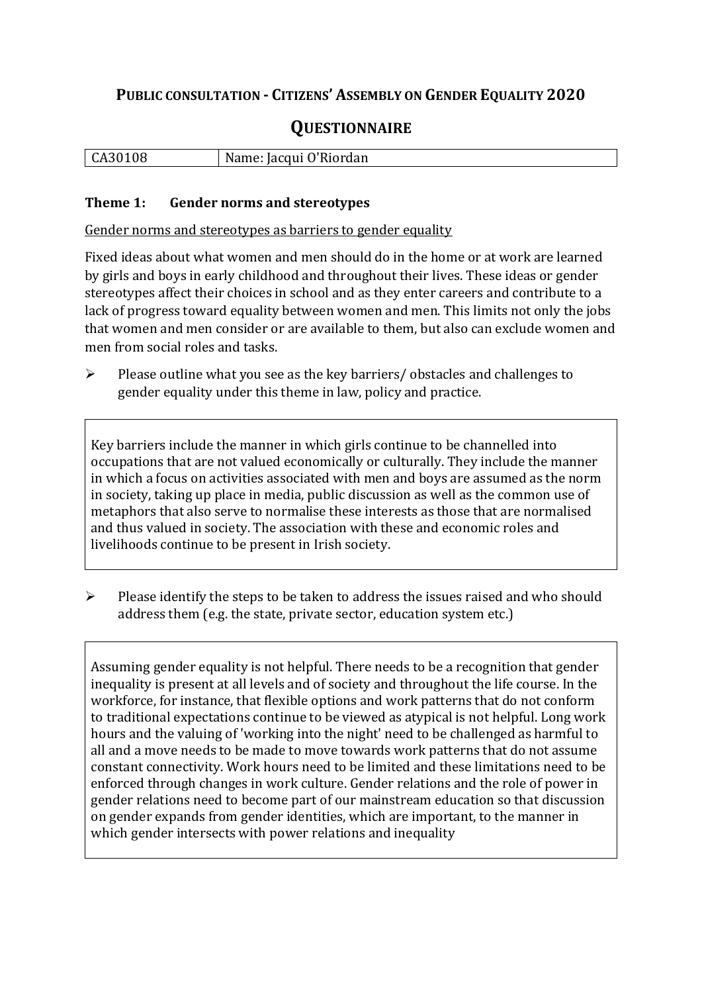# **PUBLIC CONSULTATION - CITIZENS' ASSEMBLY ON GENDER EQUALITY 2020**

# **QUESTIONNAIRE**

|  | 108<br>l CA301<br>IM : | 0'Riordan<br>Jacqui O' |
|--|------------------------|------------------------|
|--|------------------------|------------------------|

#### **Theme 1: Gender norms and stereotypes**

Gender norms and stereotypes as barriers to gender equality

Fixed ideas about what women and men should do in the home or at work are learned by girls and boys in early childhood and throughout their lives. These ideas or gender stereotypes affect their choices in school and as they enter careers and contribute to a lack of progress toward equality between women and men. This limits not only the jobs that women and men consider or are available to them, but also can exclude women and men from social roles and tasks.

➢ Please outline what you see as the key barriers/ obstacles and challenges to gender equality under this theme in law, policy and practice.

Key barriers include the manner in which girls continue to be channelled into occupations that are not valued economically or culturally. They include the manner in which a focus on activities associated with men and boys are assumed as the norm in society, taking up place in media, public discussion as well as the common use of metaphors that also serve to normalise these interests as those that are normalised and thus valued in society. The association with these and economic roles and livelihoods continue to be present in Irish society.

➢ Please identify the steps to be taken to address the issues raised and who should address them (e.g. the state, private sector, education system etc.)

Assuming gender equality is not helpful. There needs to be a recognition that gender inequality is present at all levels and of society and throughout the life course. In the workforce, for instance, that flexible options and work patterns that do not conform to traditional expectations continue to be viewed as atypical is not helpful. Long work hours and the valuing of 'working into the night' need to be challenged as harmful to all and a move needs to be made to move towards work patterns that do not assume constant connectivity. Work hours need to be limited and these limitations need to be enforced through changes in work culture. Gender relations and the role of power in gender relations need to become part of our mainstream education so that discussion on gender expands from gender identities, which are important, to the manner in which gender intersects with power relations and inequality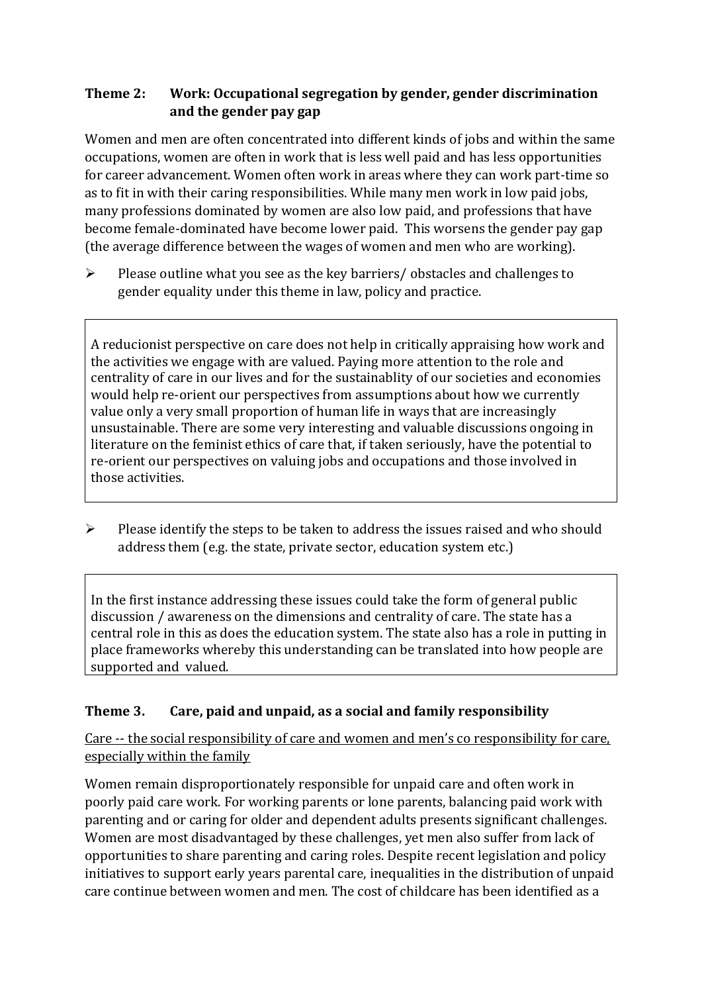## **Theme 2: Work: Occupational segregation by gender, gender discrimination and the gender pay gap**

Women and men are often concentrated into different kinds of jobs and within the same occupations, women are often in work that is less well paid and has less opportunities for career advancement. Women often work in areas where they can work part-time so as to fit in with their caring responsibilities. While many men work in low paid jobs, many professions dominated by women are also low paid, and professions that have become female-dominated have become lower paid. This worsens the gender pay gap (the average difference between the wages of women and men who are working).

➢ Please outline what you see as the key barriers/ obstacles and challenges to gender equality under this theme in law, policy and practice.

A reducionist perspective on care does not help in critically appraising how work and the activities we engage with are valued. Paying more attention to the role and centrality of care in our lives and for the sustainablity of our societies and economies would help re-orient our perspectives from assumptions about how we currently value only a very small proportion of human life in ways that are increasingly unsustainable. There are some very interesting and valuable discussions ongoing in literature on the feminist ethics of care that, if taken seriously, have the potential to re-orient our perspectives on valuing jobs and occupations and those involved in those activities.

➢ Please identify the steps to be taken to address the issues raised and who should address them (e.g. the state, private sector, education system etc.)

In the first instance addressing these issues could take the form of general public discussion / awareness on the dimensions and centrality of care. The state has a central role in this as does the education system. The state also has a role in putting in place frameworks whereby this understanding can be translated into how people are supported and valued.

## **Theme 3. Care, paid and unpaid, as a social and family responsibility**

Care -- the social responsibility of care and women and men's co responsibility for care, especially within the family

Women remain disproportionately responsible for unpaid care and often work in poorly paid care work. For working parents or [lone parents,](https://aran.library.nuigalway.ie/bitstream/handle/10379/6044/Millar_and_Crosse_Activation_Report.pdf?sequence=1&isAllowed=y) balancing paid work with parenting and or caring for older and dependent adults presents significant challenges. Women are [most disadvantaged by these challenges,](https://eige.europa.eu/gender-equality-index/game/IE/W) yet men also suffer from lack of opportunities to share parenting and caring roles. Despite recent legislation and policy initiatives to support early years parental care, [inequalities in the distribution of unpaid](https://www.ihrec.ie/app/uploads/2019/07/Caring-and-Unpaid-Work-in-Ireland_Final.pdf)  [care](https://www.ihrec.ie/app/uploads/2019/07/Caring-and-Unpaid-Work-in-Ireland_Final.pdf) continue between women and men. The cost of childcare has been identified as a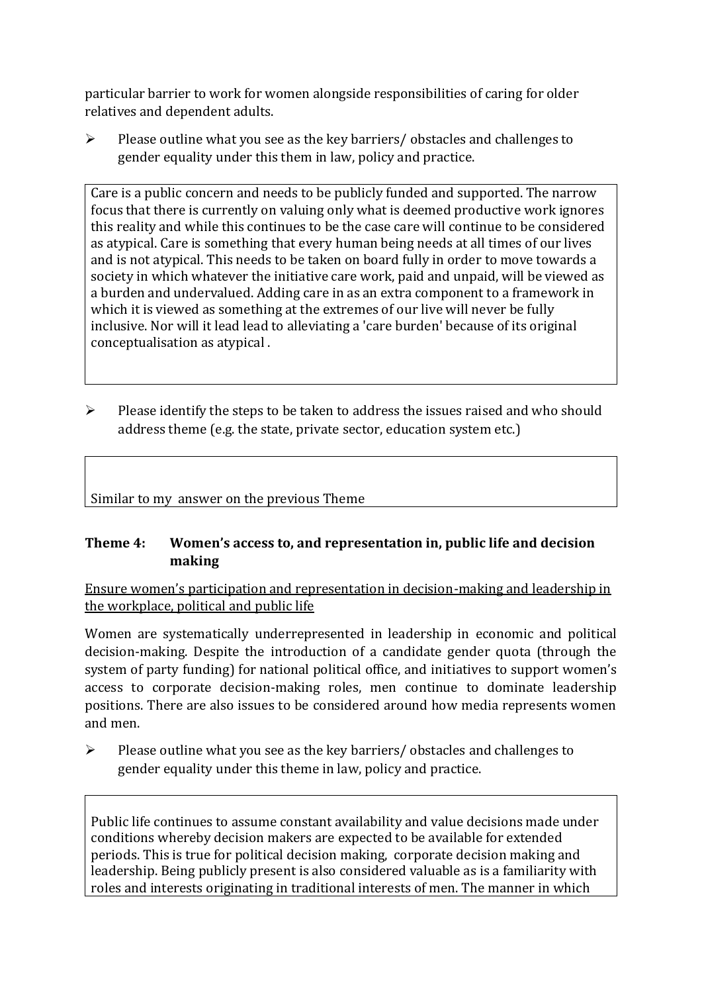particular barrier to work for women alongside responsibilities of caring for older relatives and dependent adults.

➢ Please outline what you see as the key barriers/ obstacles and challenges to gender equality under this them in law, policy and practice.

Care is a public concern and needs to be publicly funded and supported. The narrow focus that there is currently on valuing only what is deemed productive work ignores this reality and while this continues to be the case care will continue to be considered as atypical. Care is something that every human being needs at all times of our lives and is not atypical. This needs to be taken on board fully in order to move towards a society in which whatever the initiative care work, paid and unpaid, will be viewed as a burden and undervalued. Adding care in as an extra component to a framework in which it is viewed as something at the extremes of our live will never be fully inclusive. Nor will it lead lead to alleviating a 'care burden' because of its original conceptualisation as atypical .

 $\triangleright$  Please identify the steps to be taken to address the issues raised and who should address theme (e.g. the state, private sector, education system etc.)

Similar to my answer on the previous Theme

#### **Theme 4: Women's access to, and representation in, public life and decision making**

Ensure women's participation and representation in decision-making and leadership in the workplace, political and public life

Women are systematically underrepresented in leadership in [economic](https://eige.europa.eu/gender-equality-index/2019/compare-countries/power/2/bar) and [political](https://eige.europa.eu/gender-equality-index/2019/compare-countries/power/1/bar)  [decision-](https://eige.europa.eu/gender-equality-index/2019/compare-countries/power/1/bar)making. Despite the introduction of a candidate gender quota (through the system of party funding) for national political office, and [initiatives](https://betterbalance.ie/) to support women's access to corporate decision-making roles, men continue to dominate leadership positions. There are also issues to be considered around how media represents women and men.

➢ Please outline what you see as the key barriers/ obstacles and challenges to gender equality under this theme in law, policy and practice.

Public life continues to assume constant availability and value decisions made under conditions whereby decision makers are expected to be available for extended periods. This is true for political decision making, corporate decision making and leadership. Being publicly present is also considered valuable as is a familiarity with roles and interests originating in traditional interests of men. The manner in which